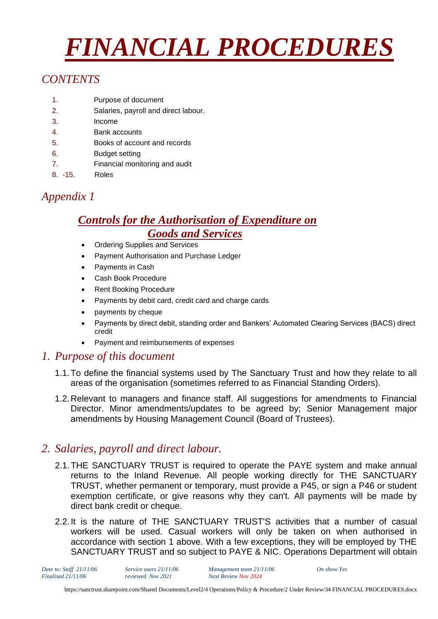# *FINANCIAL PROCEDURES*

# *CONTENTS*

- 1. Purpose of document
- 2. Salaries, payroll and direct labour.
- 3. Income
- 4. Bank accounts
- 5. Books of account and records
- 6. Budget setting
- 7. Financial monitoring and audit
- 8. -15. Roles

# *Appendix 1*

# *Controls for the Authorisation of Expenditure on Goods and Services*

- Ordering Supplies and Services
- Payment Authorisation and Purchase Ledger
- Payments in Cash
- Cash Book Procedure
- **Rent Booking Procedure**
- Payments by debit card, credit card and charge cards
- payments by cheque
- Payments by direct debit, standing order and Bankers' Automated Clearing Services (BACS) direct credit
- Payment and reimbursements of expenses

## *1. Purpose of this document*

- 1.1.To define the financial systems used by The Sanctuary Trust and how they relate to all areas of the organisation (sometimes referred to as Financial Standing Orders).
- 1.2.Relevant to managers and finance staff. All suggestions for amendments to Financial Director. Minor amendments/updates to be agreed by; Senior Management major amendments by Housing Management Council (Board of Trustees).

## *2. Salaries, payroll and direct labour.*

- 2.1.THE SANCTUARY TRUST is required to operate the PAYE system and make annual returns to the Inland Revenue. All people working directly for THE SANCTUARY TRUST, whether permanent or temporary, must provide a P45, or sign a P46 or student exemption certificate, or give reasons why they can't. All payments will be made by direct bank credit or cheque.
- 2.2.It is the nature of THE SANCTUARY TRUST'S activities that a number of casual workers will be used. Casual workers will only be taken on when authorised in accordance with section 1 above. With a few exceptions, they will be employed by THE SANCTUARY TRUST and so subject to PAYE & NIC. Operations Department will obtain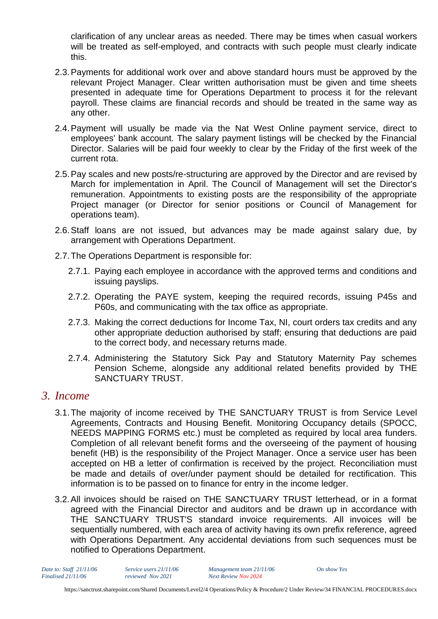clarification of any unclear areas as needed. There may be times when casual workers will be treated as self-employed, and contracts with such people must clearly indicate this.

- 2.3.Payments for additional work over and above standard hours must be approved by the relevant Project Manager. Clear written authorisation must be given and time sheets presented in adequate time for Operations Department to process it for the relevant payroll. These claims are financial records and should be treated in the same way as any other.
- 2.4.Payment will usually be made via the Nat West Online payment service, direct to employees' bank account. The salary payment listings will be checked by the Financial Director. Salaries will be paid four weekly to clear by the Friday of the first week of the current rota.
- 2.5.Pay scales and new posts/re-structuring are approved by the Director and are revised by March for implementation in April. The Council of Management will set the Director's remuneration. Appointments to existing posts are the responsibility of the appropriate Project manager (or Director for senior positions or Council of Management for operations team).
- 2.6.Staff loans are not issued, but advances may be made against salary due, by arrangement with Operations Department.
- 2.7.The Operations Department is responsible for:
	- 2.7.1. Paying each employee in accordance with the approved terms and conditions and issuing payslips.
	- 2.7.2. Operating the PAYE system, keeping the required records, issuing P45s and P60s, and communicating with the tax office as appropriate.
	- 2.7.3. Making the correct deductions for Income Tax, NI, court orders tax credits and any other appropriate deduction authorised by staff; ensuring that deductions are paid to the correct body, and necessary returns made.
	- 2.7.4. Administering the Statutory Sick Pay and Statutory Maternity Pay schemes Pension Scheme, alongside any additional related benefits provided by THE SANCTUARY TRUST.

#### *3. Income*

- 3.1.The majority of income received by THE SANCTUARY TRUST is from Service Level Agreements, Contracts and Housing Benefit. Monitoring Occupancy details (SPOCC, NEEDS MAPPING FORMS etc.) must be completed as required by local area funders. Completion of all relevant benefit forms and the overseeing of the payment of housing benefit (HB) is the responsibility of the Project Manager. Once a service user has been accepted on HB a letter of confirmation is received by the project. Reconciliation must be made and details of over/under payment should be detailed for rectification. This information is to be passed on to finance for entry in the income ledger.
- 3.2.All invoices should be raised on THE SANCTUARY TRUST letterhead, or in a format agreed with the Financial Director and auditors and be drawn up in accordance with THE SANCTUARY TRUST'S standard invoice requirements. All invoices will be sequentially numbered, with each area of activity having its own prefix reference, agreed with Operations Department. Any accidental deviations from such sequences must be notified to Operations Department.

*Finalised 21/11/06 reviewed Nov 2021 Next Review Nov 2024*

*Date to: Staff 21/11/06 Service users 21/11/06 Management team 21/11/06 On show Yes*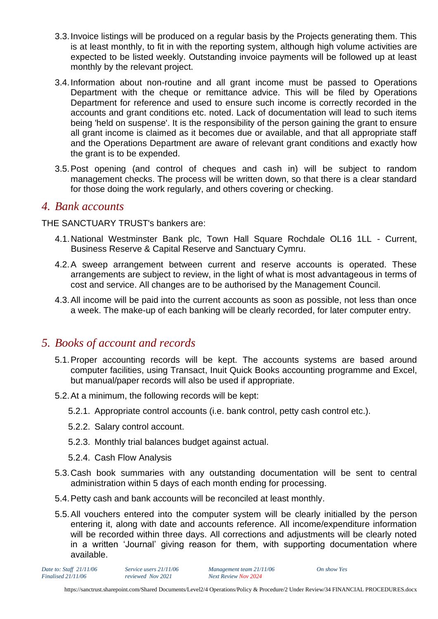- 3.3.Invoice listings will be produced on a regular basis by the Projects generating them. This is at least monthly, to fit in with the reporting system, although high volume activities are expected to be listed weekly. Outstanding invoice payments will be followed up at least monthly by the relevant project.
- 3.4.Information about non-routine and all grant income must be passed to Operations Department with the cheque or remittance advice. This will be filed by Operations Department for reference and used to ensure such income is correctly recorded in the accounts and grant conditions etc. noted. Lack of documentation will lead to such items being 'held on suspense'. It is the responsibility of the person gaining the grant to ensure all grant income is claimed as it becomes due or available, and that all appropriate staff and the Operations Department are aware of relevant grant conditions and exactly how the grant is to be expended.
- 3.5.Post opening (and control of cheques and cash in) will be subject to random management checks. The process will be written down, so that there is a clear standard for those doing the work regularly, and others covering or checking.

#### *4. Bank accounts*

THE SANCTUARY TRUST's bankers are:

- 4.1.National Westminster Bank plc, Town Hall Square Rochdale OL16 1LL Current, Business Reserve & Capital Reserve and Sanctuary Cymru.
- 4.2.A sweep arrangement between current and reserve accounts is operated. These arrangements are subject to review, in the light of what is most advantageous in terms of cost and service. All changes are to be authorised by the Management Council.
- 4.3.All income will be paid into the current accounts as soon as possible, not less than once a week. The make-up of each banking will be clearly recorded, for later computer entry.

## *5. Books of account and records*

- 5.1.Proper accounting records will be kept. The accounts systems are based around computer facilities, using Transact, Inuit Quick Books accounting programme and Excel, but manual/paper records will also be used if appropriate.
- 5.2.At a minimum, the following records will be kept:
	- 5.2.1. Appropriate control accounts (i.e. bank control, petty cash control etc.).
	- 5.2.2. Salary control account.
	- 5.2.3. Monthly trial balances budget against actual.
	- 5.2.4. Cash Flow Analysis
- 5.3.Cash book summaries with any outstanding documentation will be sent to central administration within 5 days of each month ending for processing.
- 5.4.Petty cash and bank accounts will be reconciled at least monthly.
- 5.5.All vouchers entered into the computer system will be clearly initialled by the person entering it, along with date and accounts reference. All income/expenditure information will be recorded within three days. All corrections and adjustments will be clearly noted in a written 'Journal' giving reason for them, with supporting documentation where available.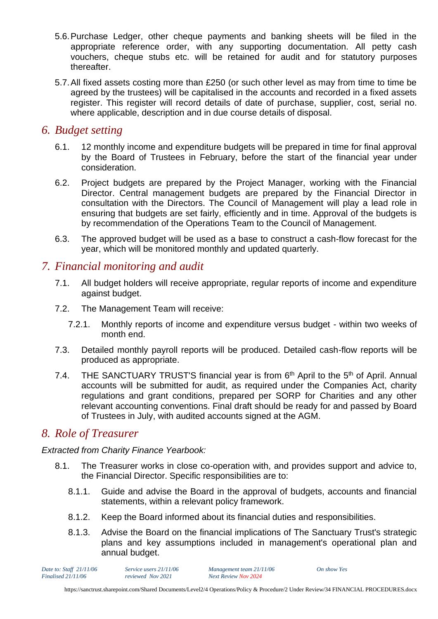- 5.6.Purchase Ledger, other cheque payments and banking sheets will be filed in the appropriate reference order, with any supporting documentation. All petty cash vouchers, cheque stubs etc. will be retained for audit and for statutory purposes thereafter.
- 5.7.All fixed assets costing more than £250 (or such other level as may from time to time be agreed by the trustees) will be capitalised in the accounts and recorded in a fixed assets register. This register will record details of date of purchase, supplier, cost, serial no. where applicable, description and in due course details of disposal.

#### *6. Budget setting*

- 6.1. 12 monthly income and expenditure budgets will be prepared in time for final approval by the Board of Trustees in February, before the start of the financial year under consideration.
- 6.2. Project budgets are prepared by the Project Manager, working with the Financial Director. Central management budgets are prepared by the Financial Director in consultation with the Directors. The Council of Management will play a lead role in ensuring that budgets are set fairly, efficiently and in time. Approval of the budgets is by recommendation of the Operations Team to the Council of Management.
- 6.3. The approved budget will be used as a base to construct a cash-flow forecast for the year, which will be monitored monthly and updated quarterly.

## *7. Financial monitoring and audit*

- 7.1. All budget holders will receive appropriate, regular reports of income and expenditure against budget.
- 7.2. The Management Team will receive:
	- 7.2.1. Monthly reports of income and expenditure versus budget within two weeks of month end.
- 7.3. Detailed monthly payroll reports will be produced. Detailed cash-flow reports will be produced as appropriate.
- 7.4. THE SANCTUARY TRUST'S financial year is from  $6<sup>th</sup>$  April to the  $5<sup>th</sup>$  of April. Annual accounts will be submitted for audit, as required under the Companies Act, charity regulations and grant conditions, prepared per SORP for Charities and any other relevant accounting conventions. Final draft should be ready for and passed by Board of Trustees in July, with audited accounts signed at the AGM.

## *8. Role of Treasurer*

#### *Extracted from Charity Finance Yearbook:*

- 8.1. The Treasurer works in close co-operation with, and provides support and advice to, the Financial Director. Specific responsibilities are to:
	- 8.1.1. Guide and advise the Board in the approval of budgets, accounts and financial statements, within a relevant policy framework.
	- 8.1.2. Keep the Board informed about its financial duties and responsibilities.
	- 8.1.3. Advise the Board on the financial implications of The Sanctuary Trust's strategic plans and key assumptions included in management's operational plan and annual budget.